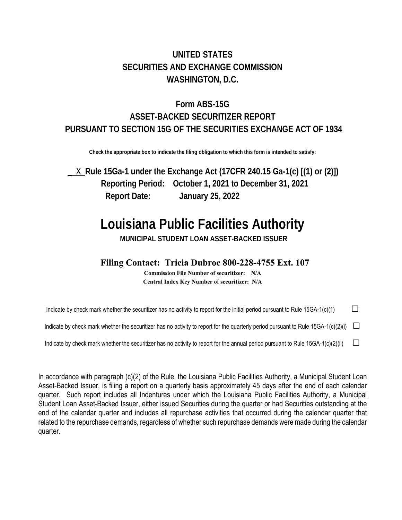## **UNITED STATES SECURITIES AND EXCHANGE COMMISSION WASHINGTON, D.C.**

# **Form ABS-15G ASSET-BACKED SECURITIZER REPORT PURSUANT TO SECTION 15G OF THE SECURITIES EXCHANGE ACT OF 1934**

**Check the appropriate box to indicate the filing obligation to which this form is intended to satisfy:** 

\_ X **Rule 15Ga-1 under the Exchange Act (17CFR 240.15 Ga-1(c) [(1) or (2)]) Reporting Period: October 1, 2021 to December 31, 2021 Report Date: January 25, 2022** 

# **Louisiana Public Facilities Authority**

**MUNICIPAL STUDENT LOAN ASSET-BACKED ISSUER** 

## **Filing Contact: Tricia Dubroc 800-228-4755 Ext. 107**

**Commission File Number of securitizer: N/A Central Index Key Number of securitizer: N/A** 

Indicate by check mark whether the securitizer has no activity to report for the initial period pursuant to Rule 15GA-1(c)(1)  $\Box$ 

Indicate by check mark whether the securitizer has no activity to report for the quarterly period pursuant to Rule 15GA-1(c)(2)(i)  $\square$ 

Indicate by check mark whether the securitizer has no activity to report for the annual period pursuant to Rule 15GA-1(c)(2)(ii)  $\Box$ 

In accordance with paragraph (c)(2) of the Rule, the Louisiana Public Facilities Authority, a Municipal Student Loan Asset-Backed Issuer, is filing a report on a quarterly basis approximately 45 days after the end of each calendar quarter. Such report includes all Indentures under which the Louisiana Public Facilities Authority, a Municipal Student Loan Asset-Backed Issuer, either issued Securities during the quarter or had Securities outstanding at the end of the calendar quarter and includes all repurchase activities that occurred during the calendar quarter that related to the repurchase demands, regardless of whether such repurchase demands were made during the calendar quarter.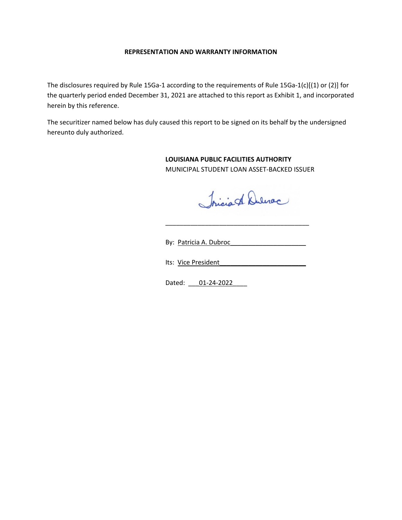#### **REPRESENTATION AND WARRANTY INFORMATION**

The disclosures required by Rule 15Ga-1 according to the requirements of Rule 15Ga-1(c)[(1) or (2)] for the quarterly period ended December 31, 2021 are attached to this report as Exhibit 1, and incorporated herein by this reference.

The securitizer named below has duly caused this report to be signed on its behalf by the undersigned hereunto duly authorized.

> **LOUISIANA PUBLIC FACILITIES AUTHORITY**  MUNICIPAL STUDENT LOAN ASSET‐BACKED ISSUER

Iricia A Duleroc

By: Patricia A. Dubroc

Its: Vice President

 $\overline{\phantom{a}}$  ,  $\overline{\phantom{a}}$  ,  $\overline{\phantom{a}}$  ,  $\overline{\phantom{a}}$  ,  $\overline{\phantom{a}}$  ,  $\overline{\phantom{a}}$  ,  $\overline{\phantom{a}}$  ,  $\overline{\phantom{a}}$  ,  $\overline{\phantom{a}}$  ,  $\overline{\phantom{a}}$  ,  $\overline{\phantom{a}}$  ,  $\overline{\phantom{a}}$  ,  $\overline{\phantom{a}}$  ,  $\overline{\phantom{a}}$  ,  $\overline{\phantom{a}}$  ,  $\overline{\phantom{a}}$ 

Dated: 01-24-2022